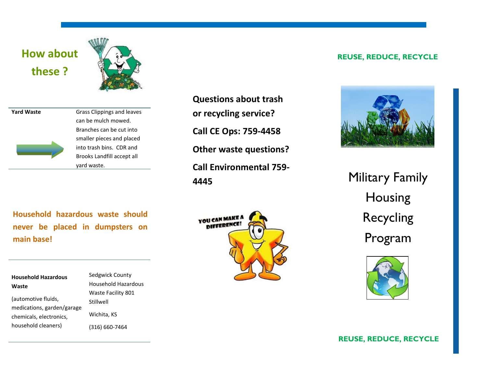# **How about these ?**



| <b>Yard Waste</b> |  |
|-------------------|--|
|                   |  |
|                   |  |
|                   |  |
|                   |  |
|                   |  |
|                   |  |

**Grass Clippings and leaves** can be mulch mowed. Branches can be cut into smaller pieces and placed into trash bins. CDR and Brooks Landfill accept all yard waste.

**Questions about trash or recycling service? Call CE Ops: 759-4458 Other waste questions? Call Environmental 759- 4445**

**Household hazardous waste should never be placed in dumpsters on main base!**

| <b>Household Hazardous</b> | Sedgwick C         |
|----------------------------|--------------------|
| Waste                      | Household          |
|                            | <b>Waste Facil</b> |
| (automotive fluids,        | Stillwell          |
| medications, garden/garage |                    |
| chemicals, electronics,    | Wichita, KS        |
| household cleaners)        | $(316) 660 - 7$    |

County Hazardous ility 801 (316) 660-7464



### **REUSE, REDUCE, RECYCLE**



Military Family Housing Recycling Program



**REUSE, REDUCE, RECYCLE**